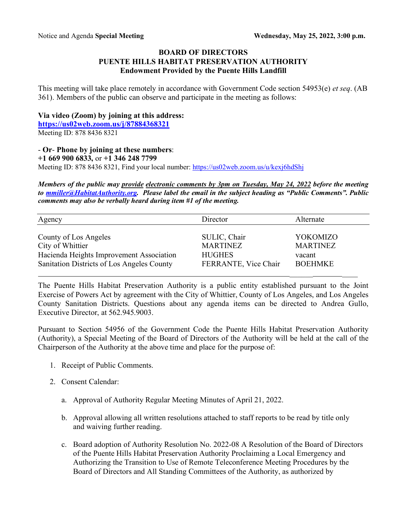## **BOARD OF DIRECTORS PUENTE HILLS HABITAT PRESERVATION AUTHORITY Endowment Provided by the Puente Hills Landfill**

This meeting will take place remotely in accordance with Government Code section 54953(e) *et seq*. (AB 361). Members of the public can observe and participate in the meeting as follows:

## **Via video (Zoom) by joining at this address:**

**https://us02web.zoom.us/j/87884368321** Meeting ID: 878 8436 8321

## - **Or**- **Phone by joining at these numbers**:

**+1 669 900 6833,** or **+1 346 248 7799**

Meeting ID: 878 8436 8321, Find your local number: https://us02web.zoom.us/u/kexj6hdShj

*Members of the public may provide electronic comments by 3pm on Tuesday, May 24, 2022 before the meeting to mmiller@HabitatAuthority.org. Please label the email in the subject heading as "Public Comments". Public comments may also be verbally heard during item #1 of the meeting.* 

| Agency                                     | Director             | Alternate       |
|--------------------------------------------|----------------------|-----------------|
| County of Los Angeles                      | SULIC, Chair         | YOKOMIZO        |
| City of Whittier                           | <b>MARTINEZ</b>      | <b>MARTINEZ</b> |
| Hacienda Heights Improvement Association   | <b>HUGHES</b>        | vacant          |
| Sanitation Districts of Los Angeles County | FERRANTE, Vice Chair | <b>BOEHMKE</b>  |

The Puente Hills Habitat Preservation Authority is a public entity established pursuant to the Joint Exercise of Powers Act by agreement with the City of Whittier, County of Los Angeles, and Los Angeles County Sanitation Districts. Questions about any agenda items can be directed to Andrea Gullo, Executive Director, at 562.945.9003.

Pursuant to Section 54956 of the Government Code the Puente Hills Habitat Preservation Authority (Authority), a Special Meeting of the Board of Directors of the Authority will be held at the call of the Chairperson of the Authority at the above time and place for the purpose of:

- 1. Receipt of Public Comments.
- 2. Consent Calendar:
	- a. Approval of Authority Regular Meeting Minutes of April 21, 2022.
	- b. Approval allowing all written resolutions attached to staff reports to be read by title only and waiving further reading.
	- c. Board adoption of Authority Resolution No. 2022-08 A Resolution of the Board of Directors of the Puente Hills Habitat Preservation Authority Proclaiming a Local Emergency and Authorizing the Transition to Use of Remote Teleconference Meeting Procedures by the Board of Directors and All Standing Committees of the Authority, as authorized by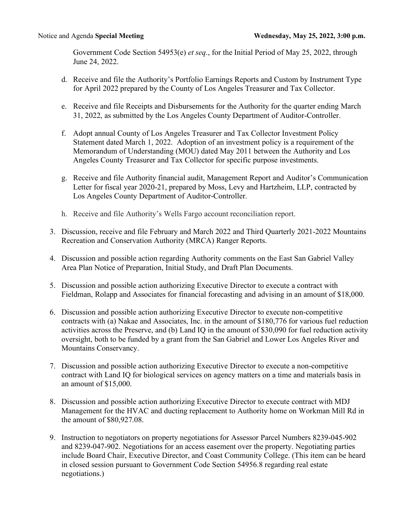Government Code Section 54953(e) *et seq*., for the Initial Period of May 25, 2022, through June 24, 2022.

- d. Receive and file the Authority's Portfolio Earnings Reports and Custom by Instrument Type for April 2022 prepared by the County of Los Angeles Treasurer and Tax Collector.
- e. Receive and file Receipts and Disbursements for the Authority for the quarter ending March 31, 2022, as submitted by the Los Angeles County Department of Auditor-Controller.
- f. Adopt annual County of Los Angeles Treasurer and Tax Collector Investment Policy Statement dated March 1, 2022. Adoption of an investment policy is a requirement of the Memorandum of Understanding (MOU) dated May 2011 between the Authority and Los Angeles County Treasurer and Tax Collector for specific purpose investments.
- g. Receive and file Authority financial audit, Management Report and Auditor's Communication Letter for fiscal year 2020-21, prepared by Moss, Levy and Hartzheim, LLP, contracted by Los Angeles County Department of Auditor-Controller.
- h. Receive and file Authority's Wells Fargo account reconciliation report.
- 3. Discussion, receive and file February and March 2022 and Third Quarterly 2021-2022 Mountains Recreation and Conservation Authority (MRCA) Ranger Reports.
- 4. Discussion and possible action regarding Authority comments on the East San Gabriel Valley Area Plan Notice of Preparation, Initial Study, and Draft Plan Documents.
- 5. Discussion and possible action authorizing Executive Director to execute a contract with Fieldman, Rolapp and Associates for financial forecasting and advising in an amount of \$18,000.
- 6. Discussion and possible action authorizing Executive Director to execute non-competitive contracts with (a) Nakae and Associates, Inc. in the amount of \$180,776 for various fuel reduction activities across the Preserve, and (b) Land IQ in the amount of \$30,090 for fuel reduction activity oversight, both to be funded by a grant from the San Gabriel and Lower Los Angeles River and Mountains Conservancy.
- 7. Discussion and possible action authorizing Executive Director to execute a non-competitive contract with Land IQ for biological services on agency matters on a time and materials basis in an amount of \$15,000.
- 8. Discussion and possible action authorizing Executive Director to execute contract with MDJ Management for the HVAC and ducting replacement to Authority home on Workman Mill Rd in the amount of \$80,927.08.
- 9. Instruction to negotiators on property negotiations for Assessor Parcel Numbers 8239-045-902 and 8239-047-902. Negotiations for an access easement over the property. Negotiating parties include Board Chair, Executive Director, and Coast Community College. (This item can be heard in closed session pursuant to Government Code Section 54956.8 regarding real estate negotiations.)